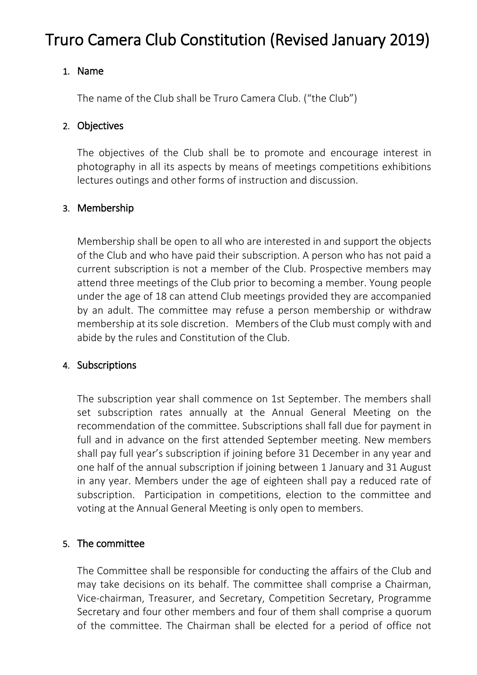# Truro Camera Club Constitution (Revised January 2019)

# 1. Name

The name of the Club shall be Truro Camera Club. ("the Club")

# 2. Objectives

The objectives of the Club shall be to promote and encourage interest in photography in all its aspects by means of meetings competitions exhibitions lectures outings and other forms of instruction and discussion.

# 3. Membership

Membership shall be open to all who are interested in and support the objects of the Club and who have paid their subscription. A person who has not paid a current subscription is not a member of the Club. Prospective members may attend three meetings of the Club prior to becoming a member. Young people under the age of 18 can attend Club meetings provided they are accompanied by an adult. The committee may refuse a person membership or withdraw membership at its sole discretion. Members of the Club must comply with and abide by the rules and Constitution of the Club.

## 4. Subscriptions

The subscription year shall commence on 1st September. The members shall set subscription rates annually at the Annual General Meeting on the recommendation of the committee. Subscriptions shall fall due for payment in full and in advance on the first attended September meeting. New members shall pay full year's subscription if joining before 31 December in any year and one half of the annual subscription if joining between 1 January and 31 August in any year. Members under the age of eighteen shall pay a reduced rate of subscription. Participation in competitions, election to the committee and voting at the Annual General Meeting is only open to members.

## 5. The committee

The Committee shall be responsible for conducting the affairs of the Club and may take decisions on its behalf. The committee shall comprise a Chairman, Vice-chairman, Treasurer, and Secretary, Competition Secretary, Programme Secretary and four other members and four of them shall comprise a quorum of the committee. The Chairman shall be elected for a period of office not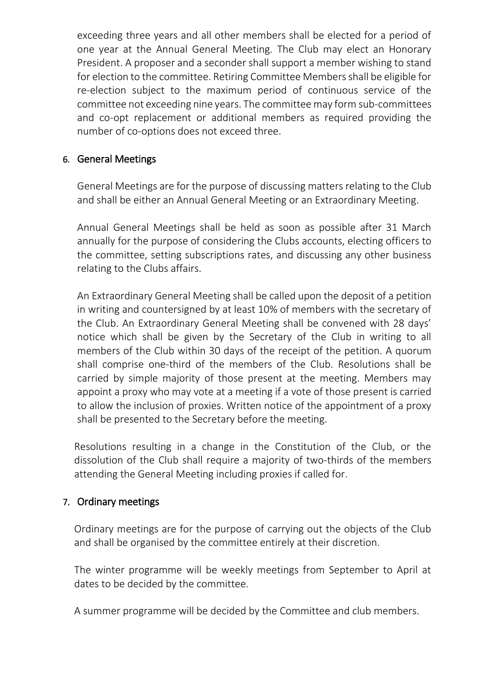exceeding three years and all other members shall be elected for a period of one year at the Annual General Meeting. The Club may elect an Honorary President. A proposer and a seconder shall support a member wishing to stand for election to the committee. Retiring Committee Members shall be eligible for re-election subject to the maximum period of continuous service of the committee not exceeding nine years. The committee may form sub-committees and co-opt replacement or additional members as required providing the number of co-options does not exceed three.

### 6. General Meetings

General Meetings are for the purpose of discussing matters relating to the Club and shall be either an Annual General Meeting or an Extraordinary Meeting.

Annual General Meetings shall be held as soon as possible after 31 March annually for the purpose of considering the Clubs accounts, electing officers to the committee, setting subscriptions rates, and discussing any other business relating to the Clubs affairs.

An Extraordinary General Meeting shall be called upon the deposit of a petition in writing and countersigned by at least 10% of members with the secretary of the Club. An Extraordinary General Meeting shall be convened with 28 days' notice which shall be given by the Secretary of the Club in writing to all members of the Club within 30 days of the receipt of the petition. A quorum shall comprise one-third of the members of the Club. Resolutions shall be carried by simple majority of those present at the meeting. Members may appoint a proxy who may vote at a meeting if a vote of those present is carried to allow the inclusion of proxies. Written notice of the appointment of a proxy shall be presented to the Secretary before the meeting.

Resolutions resulting in a change in the Constitution of the Club, or the dissolution of the Club shall require a majority of two-thirds of the members attending the General Meeting including proxies if called for.

#### 7. Ordinary meetings

Ordinary meetings are for the purpose of carrying out the objects of the Club and shall be organised by the committee entirely at their discretion.

The winter programme will be weekly meetings from September to April at dates to be decided by the committee.

A summer programme will be decided by the Committee and club members.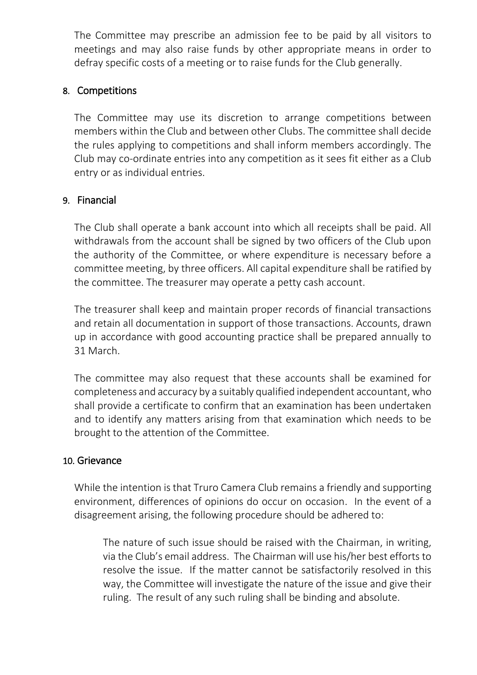The Committee may prescribe an admission fee to be paid by all visitors to meetings and may also raise funds by other appropriate means in order to defray specific costs of a meeting or to raise funds for the Club generally.

#### 8. Competitions

The Committee may use its discretion to arrange competitions between members within the Club and between other Clubs. The committee shall decide the rules applying to competitions and shall inform members accordingly. The Club may co-ordinate entries into any competition as it sees fit either as a Club entry or as individual entries.

## 9. Financial

The Club shall operate a bank account into which all receipts shall be paid. All withdrawals from the account shall be signed by two officers of the Club upon the authority of the Committee, or where expenditure is necessary before a committee meeting, by three officers. All capital expenditure shall be ratified by the committee. The treasurer may operate a petty cash account.

The treasurer shall keep and maintain proper records of financial transactions and retain all documentation in support of those transactions. Accounts, drawn up in accordance with good accounting practice shall be prepared annually to 31 March.

The committee may also request that these accounts shall be examined for completeness and accuracy by a suitably qualified independent accountant, who shall provide a certificate to confirm that an examination has been undertaken and to identify any matters arising from that examination which needs to be brought to the attention of the Committee.

#### 10. Grievance

While the intention is that Truro Camera Club remains a friendly and supporting environment, differences of opinions do occur on occasion. In the event of a disagreement arising, the following procedure should be adhered to:

The nature of such issue should be raised with the Chairman, in writing, via the Club's email address. The Chairman will use his/her best efforts to resolve the issue. If the matter cannot be satisfactorily resolved in this way, the Committee will investigate the nature of the issue and give their ruling. The result of any such ruling shall be binding and absolute.